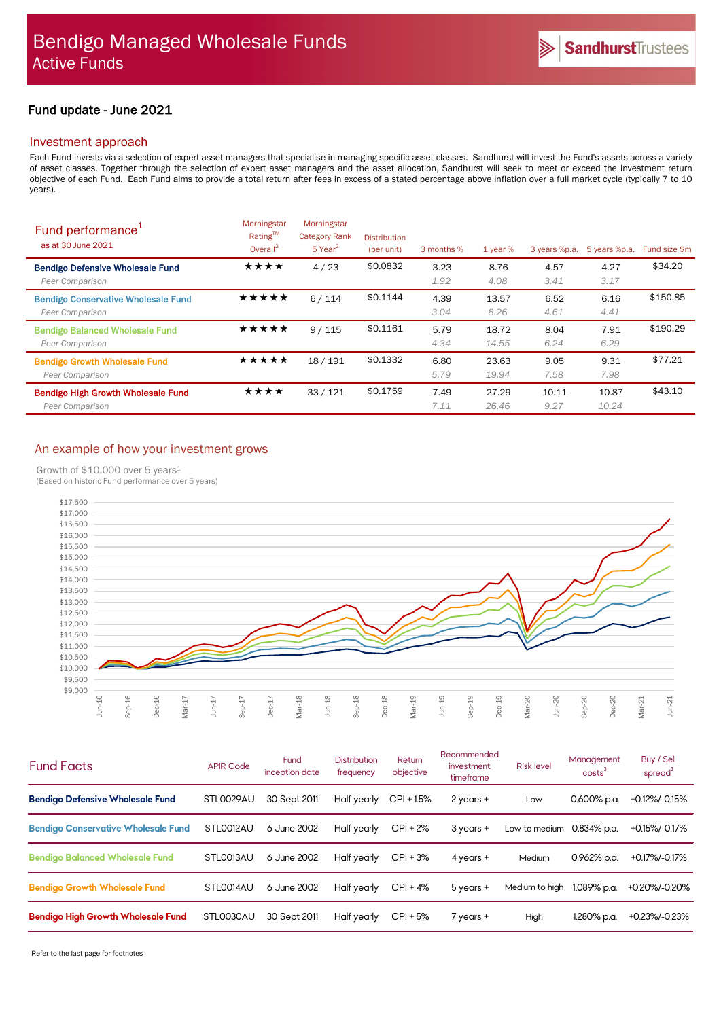# Fund update - June 2021

# Investment approach

Each Fund invests via a selection of expert asset managers that specialise in managing specific asset classes. Sandhurst will invest the Fund's assets across a variety of asset classes. Together through the selection of expert asset managers and the asset allocation, Sandhurst will seek to meet or exceed the investment return objective of each Fund. Each Fund aims to provide a total return after fees in excess of a stated percentage above inflation over a full market cycle (typically 7 to 10 years).

| Fund performance <sup>1</sup><br>as at 30 June 2021           | Morningstar<br>Rating™<br>Overall <sup>2</sup> | Morningstar<br><b>Category Rank</b><br>$5$ Year <sup>2</sup> | <b>Distribution</b><br>(per unit) | 3 months %   | 1 year $%$     | 3 years %p.a. | 5 years %p.a.  | Fund size \$m |
|---------------------------------------------------------------|------------------------------------------------|--------------------------------------------------------------|-----------------------------------|--------------|----------------|---------------|----------------|---------------|
| <b>Bendigo Defensive Wholesale Fund</b><br>Peer Comparison    | ★★★★                                           | 4/23                                                         | \$0.0832                          | 3.23<br>1.92 | 8.76<br>4.08   | 4.57<br>3.41  | 4.27<br>3.17   | \$34.20       |
| <b>Bendigo Conservative Wholesale Fund</b><br>Peer Comparison | *****                                          | 6/114                                                        | \$0.1144                          | 4.39<br>3.04 | 13.57<br>8.26  | 6.52<br>4.61  | 6.16<br>4.41   | \$150.85      |
| <b>Bendigo Balanced Wholesale Fund</b><br>Peer Comparison     | ★★★★★                                          | 9/115                                                        | \$0.1161                          | 5.79<br>4.34 | 18.72<br>14.55 | 8.04<br>6.24  | 7.91<br>6.29   | \$190.29      |
| <b>Bendigo Growth Wholesale Fund</b><br>Peer Comparison       | ★★★★★                                          | 18/191                                                       | \$0.1332                          | 6.80<br>5.79 | 23.63<br>19.94 | 9.05<br>7.58  | 9.31<br>7.98   | \$77.21       |
| <b>Bendigo High Growth Wholesale Fund</b><br>Peer Comparison  | ★★★★                                           | 33/121                                                       | \$0.1759                          | 7.49<br>7.11 | 27.29<br>26.46 | 10.11<br>9.27 | 10.87<br>10.24 | \$43.10       |

# An example of how your investment grows

Growth of \$10,000 over 5 years<sup>1</sup>



| <b>Fund Facts</b>                          | <b>APIR Code</b> | Fund<br>inception date | <b>Distribution</b><br>frequency | Return<br>objective | Recommended<br>investment<br>timeframe | <b>Risk level</b> | Management<br>costs <sup>3</sup> | Buy / Sell<br>spread <sup>3</sup> |
|--------------------------------------------|------------------|------------------------|----------------------------------|---------------------|----------------------------------------|-------------------|----------------------------------|-----------------------------------|
| <b>Bendigo Defensive Wholesale Fund</b>    | STL0029AU        | 30 Sept 2011           | Half yearly                      | $CPI + 1.5%$        | $2$ years +                            | Low               | 0.600% p.a.                      | +0.12%/-0.15%                     |
| <b>Bendigo Conservative Wholesale Fund</b> | STLO012AU        | 6 June 2002            | Half yearly                      | $CPI + 2%$          | $3$ years $+$                          | Low to medium     | 0.834% p.a.                      | +0.15%/-0.17%                     |
| <b>Bendigo Balanced Wholesale Fund</b>     | STLO013AU        | 6 June 2002            | Half yearly                      | $CPI + 3%$          | 4 years $+$                            | Medium            | 0.962% p.a.                      | +0.17%/-0.17%                     |
| <b>Bendigo Growth Wholesale Fund</b>       | STLO014AU        | 6 June 2002            | Half yearly                      | $CPI + 4%$          | $5$ years $+$                          | Medium to high    | 1.089% p.a.                      | +0.20%/-0.20%                     |
| <b>Bendigo High Growth Wholesale Fund</b>  | STL0030AU        | 30 Sept 2011           | Half yearly                      | $CPI + 5%$          | 7 years +                              | High              | 1.280% p.a.                      | +0.23%/-0.23%                     |

Refer to the last page for footnotes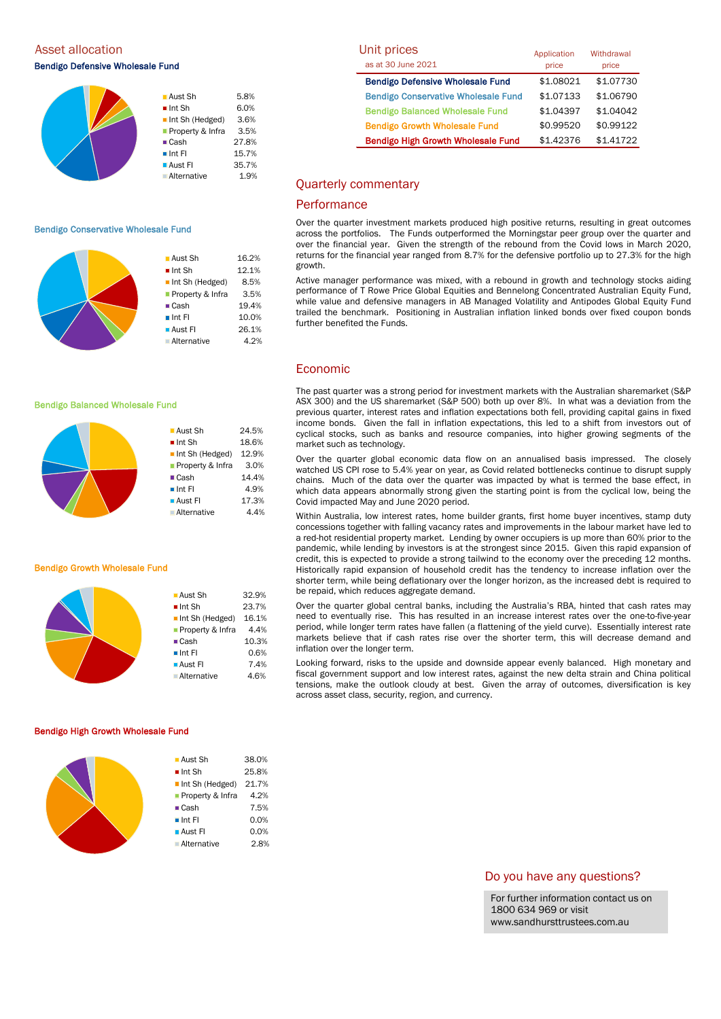Asset allocation

Bendigo Defensive Wholesale Fund

|  | ■ Aust Sh             | 5.8%  |
|--|-----------------------|-------|
|  | $\blacksquare$ Int Sh | 6.0%  |
|  | Int Sh (Hedged)       | 3.6%  |
|  | Property & Infra      | 3.5%  |
|  | $\blacksquare$ Cash   | 27.8% |
|  | $\blacksquare$ Int FI | 15.7% |
|  | <b>Aust Fl</b>        | 35.7% |
|  | ■ Alternative         | 1.9%  |
|  |                       |       |

#### Bendigo Conservative Wholesale Fund



■ Aust Sh 24.5%  $\blacksquare$  Int Sh  $18.6\%$ Int Sh (Hedged) 12.9% **Property & Infra** 3.0% ■ Cash 14.4%  $\blacksquare$  Int FI 4.9% **Aust FI** 17.3% Alternative 4.4%

#### Bendigo Balanced Wholesale Fund



#### Bendigo Growth Wholesale Fund

| $\blacksquare$ Aust Sh         | 32.9% |
|--------------------------------|-------|
| $\blacksquare$ Int Sh          | 23.7% |
| $\blacksquare$ Int Sh (Hedged) | 16.1% |
| ■ Property & Infra             | 4.4%  |
| $\blacksquare$ Cash            | 10.3% |
| $\blacksquare$ Int FI          | 0.6%  |
| $\blacksquare$ Aust FI         | 7.4%  |
| ■ Alternative                  | 4.6%  |
|                                |       |

#### Bendigo High Growth Wholesale Fund

| ■ Aust Sh              | 38.0% |
|------------------------|-------|
| $\blacksquare$ Int Sh  | 25.8% |
| Int Sh (Hedged)        | 21.7% |
| ■ Property & Infra     | 4.2%  |
| $\blacksquare$ Cash    | 7.5%  |
| $\blacksquare$ Int FI  | 0.0%  |
| $\blacksquare$ Aust FI | 0.0%  |
| <b>Alternative</b>     | 2.8%  |
|                        |       |

| Unit prices                                | Application | Withdrawal |  |
|--------------------------------------------|-------------|------------|--|
| as at 30 June 2021                         | price       | price      |  |
| <b>Bendigo Defensive Wholesale Fund</b>    | \$1.08021   | \$1.07730  |  |
| <b>Bendigo Conservative Wholesale Fund</b> | \$1.07133   | \$1.06790  |  |
| <b>Bendigo Balanced Wholesale Fund</b>     | \$1.04397   | \$1.04042  |  |
| <b>Bendigo Growth Wholesale Fund</b>       | \$0.99520   | \$0.99122  |  |
| <b>Bendigo High Growth Wholesale Fund</b>  | \$1.42376   | \$1.41722  |  |

### Quarterly commentary

# **Performance**

Over the quarter investment markets produced high positive returns, resulting in great outcomes across the portfolios. The Funds outperformed the Morningstar peer group over the quarter and over the financial year. Given the strength of the rebound from the Covid lows in March 2020, returns for the financial year ranged from 8.7% for the defensive portfolio up to 27.3% for the high growth.

Active manager performance was mixed, with a rebound in growth and technology stocks aiding performance of T Rowe Price Global Equities and Bennelong Concentrated Australian Equity Fund, while value and defensive managers in AB Managed Volatility and Antipodes Global Equity Fund trailed the benchmark. Positioning in Australian inflation linked bonds over fixed coupon bonds further benefited the Funds.

# Economic

The past quarter was a strong period for investment markets with the Australian sharemarket (S&P ASX 300) and the US sharemarket (S&P 500) both up over 8%. In what was a deviation from the previous quarter, interest rates and inflation expectations both fell, providing capital gains in fixed income bonds. Given the fall in inflation expectations, this led to a shift from investors out of cyclical stocks, such as banks and resource companies, into higher growing segments of the market such as technology.

Over the quarter global economic data flow on an annualised basis impressed. The closely watched US CPI rose to 5.4% year on year, as Covid related bottlenecks continue to disrupt supply chains. Much of the data over the quarter was impacted by what is termed the base effect, in which data appears abnormally strong given the starting point is from the cyclical low, being the Covid impacted May and June 2020 period.

Within Australia, low interest rates, home builder grants, first home buyer incentives, stamp duty concessions together with falling vacancy rates and improvements in the labour market have led to a red-hot residential property market. Lending by owner occupiers is up more than 60% prior to the pandemic, while lending by investors is at the strongest since 2015. Given this rapid expansion of credit, this is expected to provide a strong tailwind to the economy over the preceding 12 months. Historically rapid expansion of household credit has the tendency to increase inflation over the shorter term, while being deflationary over the longer horizon, as the increased debt is required to be repaid, which reduces aggregate demand.

Over the quarter global central banks, including the Australia's RBA, hinted that cash rates may need to eventually rise. This has resulted in an increase interest rates over the one-to-five-year period, while longer term rates have fallen (a flattening of the yield curve). Essentially interest rate markets believe that if cash rates rise over the shorter term, this will decrease demand and inflation over the longer term.

Looking forward, risks to the upside and downside appear evenly balanced. High monetary and fiscal government support and low interest rates, against the new delta strain and China political tensions, make the outlook cloudy at best. Given the array of outcomes, diversification is key across asset class, security, region, and currency.

### Do you have any questions?

For further information contact us on 1800 634 969 or visit www.sandhursttrustees.com.au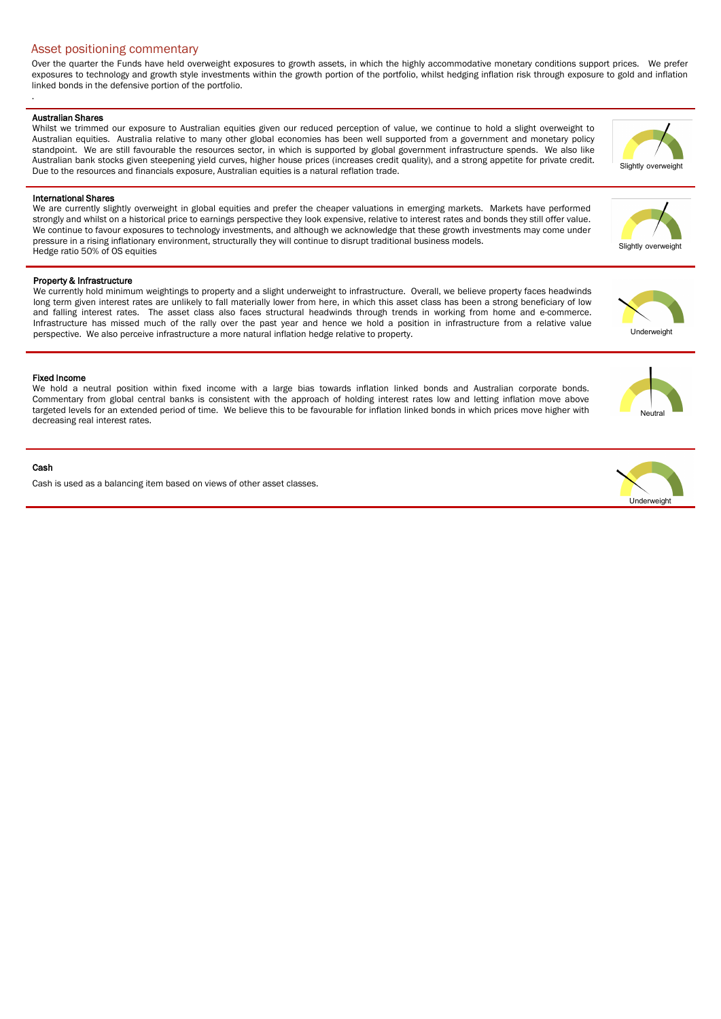# Asset positioning commentary

Over the quarter the Funds have held overweight exposures to growth assets, in which the highly accommodative monetary conditions support prices. We prefer exposures to technology and growth style investments within the growth portion of the portfolio, whilst hedging inflation risk through exposure to gold and inflation linked bonds in the defensive portion of the portfolio.

### Australian Shares

.

Whilst we trimmed our exposure to Australian equities given our reduced perception of value, we continue to hold a slight overweight to Australian equities. Australia relative to many other global economies has been well supported from a government and monetary policy standpoint. We are still favourable the resources sector, in which is supported by global government infrastructure spends. We also like Australian bank stocks given steepening yield curves, higher house prices (increases credit quality), and a strong appetite for private credit. Due to the resources and financials exposure, Australian equities is a natural reflation trade.

### International Shares

We are currently slightly overweight in global equities and prefer the cheaper valuations in emerging markets. Markets have performed strongly and whilst on a historical price to earnings perspective they look expensive, relative to interest rates and bonds they still offer value. We continue to favour exposures to technology investments, and although we acknowledge that these growth investments may come under pressure in a rising inflationary environment, structurally they will continue to disrupt traditional business models. Hedge ratio 50% of OS equities

## Property & Infrastructure

We currently hold minimum weightings to property and a slight underweight to infrastructure. Overall, we believe property faces headwinds long term given interest rates are unlikely to fall materially lower from here, in which this asset class has been a strong beneficiary of low and falling interest rates. The asset class also faces structural headwinds through trends in working from home and e-commerce. Infrastructure has missed much of the rally over the past year and hence we hold a position in infrastructure from a relative value perspective. We also perceive infrastructure a more natural inflation hedge relative to property.

## Fixed Income

We hold a neutral position within fixed income with a large bias towards inflation linked bonds and Australian corporate bonds. Commentary from global central banks is consistent with the approach of holding interest rates low and letting inflation move above targeted levels for an extended period of time. We believe this to be favourable for inflation linked bonds in which prices move higher with decreasing real interest rates.

### Cash

Cash is used as a balancing item based on views of other asset classes.





**Neutra**